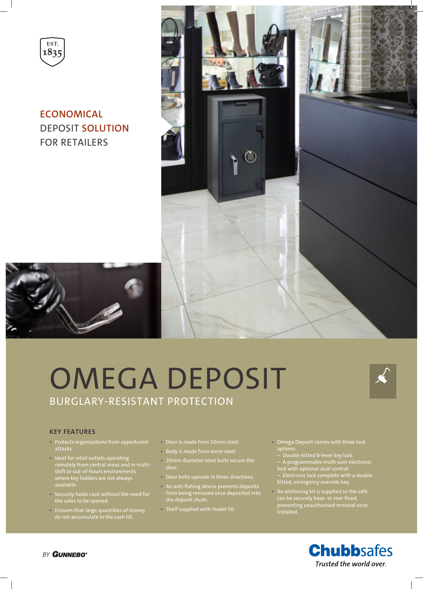

**ECONOMICAL** DEPOSIT **SOLUTION** FOR RETAILERS



## OMEGA DEPOSIT BURGLARY-RESISTANT PROTECTION



## **KEY FEATURES**

- Protects organisations from opportunist attacks.
- Ideal for retail outlets operating remotely from central areas and in multishift or out-of-hours environments where key holders are not always available.
- Securely holds cash without the need for the safes to be opened.
- Ensures that large quantities of money do not accumulate in the cash till.
- Door is made from 10mm steel.
- Body is made from 6mm steel.
- 20mm diameter steel bolts secure the
- Door bolts operate in three directions.
- An anti-fishing device prevents deposits from being removed once deposited into the deposit chute.
- Shelf supplied with model 50.
- Omega Deposit comes with three lock options:
	- Double-bitted 8-lever key lock.
	- A programmable multi-user electronic lock with optional dual control.
	- Electronic lock complete with a double bitted, emergency override key.
- An anchoring kit is supplied so the safe can be securely base- or rear-fixed, preventing unauthorised removal once installed.